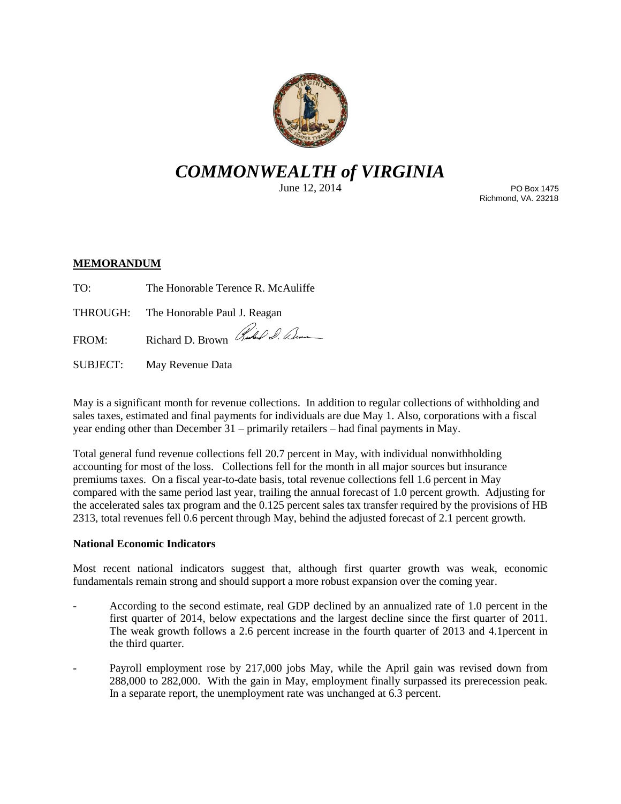

# *COMMONWEALTH of VIRGINIA*

June 12, 2014

PO Box 1475 Richmond, VA. 23218

## **MEMORANDUM**

TO: The Honorable Terence R. McAuliffe

THROUGH: The Honorable Paul J. Reagan

FROM: Richard D. Brown Rudal D. Que

SUBJECT: May Revenue Data

May is a significant month for revenue collections. In addition to regular collections of withholding and sales taxes, estimated and final payments for individuals are due May 1. Also, corporations with a fiscal year ending other than December 31 – primarily retailers – had final payments in May.

Total general fund revenue collections fell 20.7 percent in May, with individual nonwithholding accounting for most of the loss. Collections fell for the month in all major sources but insurance premiums taxes. On a fiscal year-to-date basis, total revenue collections fell 1.6 percent in May compared with the same period last year, trailing the annual forecast of 1.0 percent growth. Adjusting for the accelerated sales tax program and the 0.125 percent sales tax transfer required by the provisions of HB 2313, total revenues fell 0.6 percent through May, behind the adjusted forecast of 2.1 percent growth.

#### **National Economic Indicators**

Most recent national indicators suggest that, although first quarter growth was weak, economic fundamentals remain strong and should support a more robust expansion over the coming year.

- According to the second estimate, real GDP declined by an annualized rate of 1.0 percent in the first quarter of 2014, below expectations and the largest decline since the first quarter of 2011. The weak growth follows a 2.6 percent increase in the fourth quarter of 2013 and 4.1percent in the third quarter.
- Payroll employment rose by 217,000 jobs May, while the April gain was revised down from 288,000 to 282,000. With the gain in May, employment finally surpassed its prerecession peak. In a separate report, the unemployment rate was unchanged at 6.3 percent.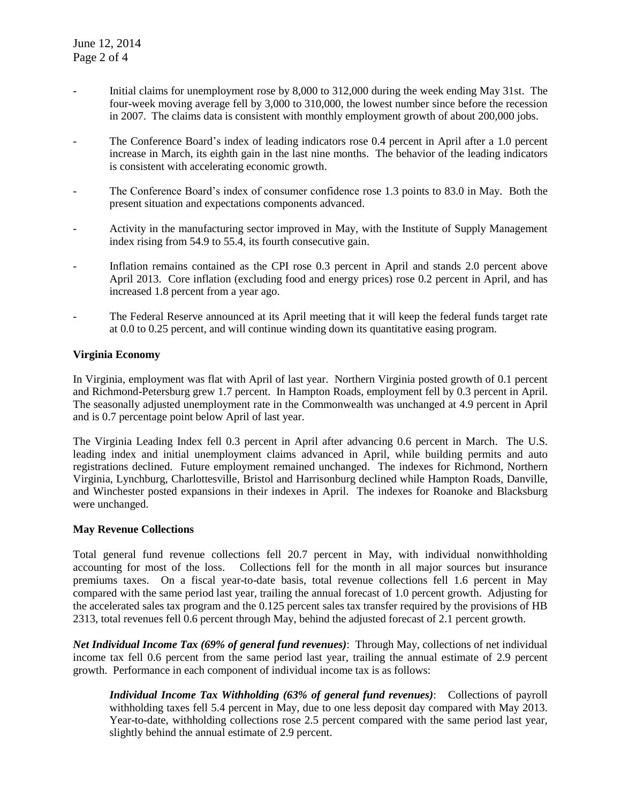- Initial claims for unemployment rose by 8,000 to 312,000 during the week ending May 31st. The four-week moving average fell by 3,000 to 310,000, the lowest number since before the recession in 2007. The claims data is consistent with monthly employment growth of about 200,000 jobs.
- The Conference Board's index of leading indicators rose 0.4 percent in April after a 1.0 percent increase in March, its eighth gain in the last nine months. The behavior of the leading indicators is consistent with accelerating economic growth.
- The Conference Board's index of consumer confidence rose 1.3 points to 83.0 in May. Both the present situation and expectations components advanced.
- Activity in the manufacturing sector improved in May, with the Institute of Supply Management index rising from 54.9 to 55.4, its fourth consecutive gain.
- Inflation remains contained as the CPI rose 0.3 percent in April and stands 2.0 percent above April 2013. Core inflation (excluding food and energy prices) rose 0.2 percent in April, and has increased 1.8 percent from a year ago.
- The Federal Reserve announced at its April meeting that it will keep the federal funds target rate at 0.0 to 0.25 percent, and will continue winding down its quantitative easing program.

#### **Virginia Economy**

In Virginia, employment was flat with April of last year. Northern Virginia posted growth of 0.1 percent and Richmond-Petersburg grew 1.7 percent. In Hampton Roads, employment fell by 0.3 percent in April. The seasonally adjusted unemployment rate in the Commonwealth was unchanged at 4.9 percent in April and is 0.7 percentage point below April of last year.

The Virginia Leading Index fell 0.3 percent in April after advancing 0.6 percent in March. The U.S. leading index and initial unemployment claims advanced in April, while building permits and auto registrations declined. Future employment remained unchanged. The indexes for Richmond, Northern Virginia, Lynchburg, Charlottesville, Bristol and Harrisonburg declined while Hampton Roads, Danville, and Winchester posted expansions in their indexes in April. The indexes for Roanoke and Blacksburg were unchanged.

#### **May Revenue Collections**

Total general fund revenue collections fell 20.7 percent in May, with individual nonwithholding accounting for most of the loss. Collections fell for the month in all major sources but insurance premiums taxes. On a fiscal year-to-date basis, total revenue collections fell 1.6 percent in May compared with the same period last year, trailing the annual forecast of 1.0 percent growth. Adjusting for the accelerated sales tax program and the 0.125 percent sales tax transfer required by the provisions of HB 2313, total revenues fell 0.6 percent through May, behind the adjusted forecast of 2.1 percent growth.

*Net Individual Income Tax (69% of general fund revenues)*: Through May, collections of net individual income tax fell 0.6 percent from the same period last year, trailing the annual estimate of 2.9 percent growth. Performance in each component of individual income tax is as follows:

*Individual Income Tax Withholding (63% of general fund revenues)*: Collections of payroll withholding taxes fell 5.4 percent in May, due to one less deposit day compared with May 2013. Year-to-date, withholding collections rose 2.5 percent compared with the same period last year, slightly behind the annual estimate of 2.9 percent.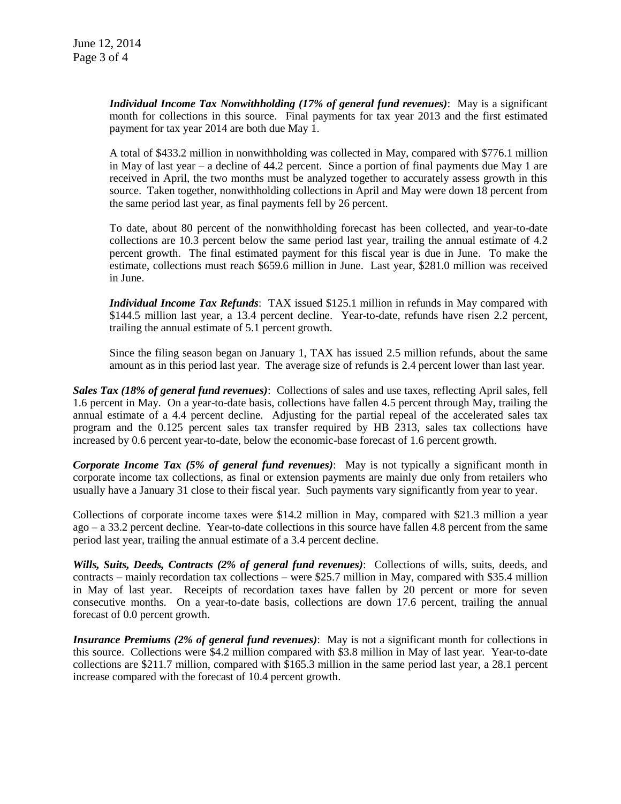*Individual Income Tax Nonwithholding (17% of general fund revenues)*: May is a significant month for collections in this source. Final payments for tax year 2013 and the first estimated payment for tax year 2014 are both due May 1.

A total of \$433.2 million in nonwithholding was collected in May, compared with \$776.1 million in May of last year – a decline of 44.2 percent. Since a portion of final payments due May 1 are received in April, the two months must be analyzed together to accurately assess growth in this source. Taken together, nonwithholding collections in April and May were down 18 percent from the same period last year, as final payments fell by 26 percent.

To date, about 80 percent of the nonwithholding forecast has been collected, and year-to-date collections are 10.3 percent below the same period last year, trailing the annual estimate of 4.2 percent growth. The final estimated payment for this fiscal year is due in June. To make the estimate, collections must reach \$659.6 million in June. Last year, \$281.0 million was received in June.

*Individual Income Tax Refunds*: TAX issued \$125.1 million in refunds in May compared with \$144.5 million last year, a 13.4 percent decline. Year-to-date, refunds have risen 2.2 percent, trailing the annual estimate of 5.1 percent growth.

Since the filing season began on January 1, TAX has issued 2.5 million refunds, about the same amount as in this period last year. The average size of refunds is 2.4 percent lower than last year.

*Sales Tax (18% of general fund revenues)*: Collections of sales and use taxes, reflecting April sales, fell 1.6 percent in May. On a year-to-date basis, collections have fallen 4.5 percent through May, trailing the annual estimate of a 4.4 percent decline. Adjusting for the partial repeal of the accelerated sales tax program and the 0.125 percent sales tax transfer required by HB 2313, sales tax collections have increased by 0.6 percent year-to-date, below the economic-base forecast of 1.6 percent growth.

*Corporate Income Tax (5% of general fund revenues)*: May is not typically a significant month in corporate income tax collections, as final or extension payments are mainly due only from retailers who usually have a January 31 close to their fiscal year. Such payments vary significantly from year to year.

Collections of corporate income taxes were \$14.2 million in May, compared with \$21.3 million a year ago – a 33.2 percent decline. Year-to-date collections in this source have fallen 4.8 percent from the same period last year, trailing the annual estimate of a 3.4 percent decline.

*Wills, Suits, Deeds, Contracts (2% of general fund revenues)*: Collections of wills, suits, deeds, and contracts – mainly recordation tax collections – were \$25.7 million in May, compared with \$35.4 million in May of last year. Receipts of recordation taxes have fallen by 20 percent or more for seven consecutive months. On a year-to-date basis, collections are down 17.6 percent, trailing the annual forecast of 0.0 percent growth.

*Insurance Premiums (2% of general fund revenues)*: May is not a significant month for collections in this source. Collections were \$4.2 million compared with \$3.8 million in May of last year. Year-to-date collections are \$211.7 million, compared with \$165.3 million in the same period last year, a 28.1 percent increase compared with the forecast of 10.4 percent growth.